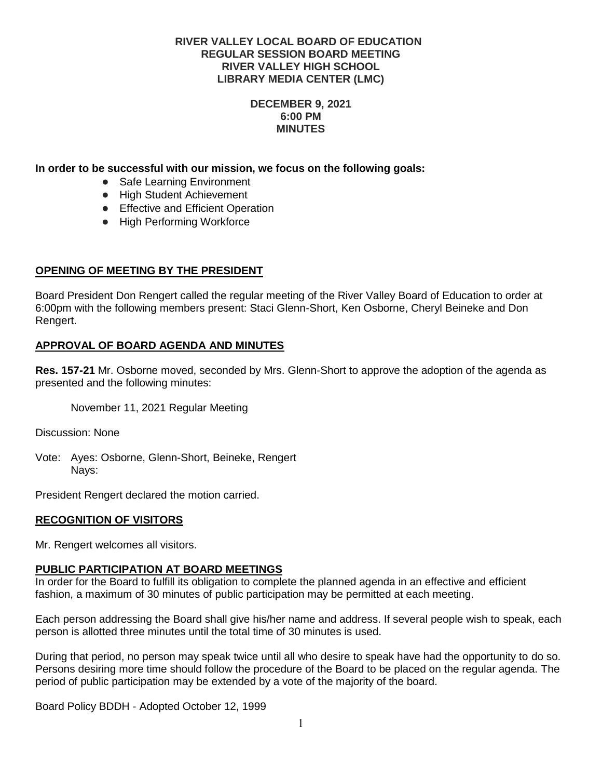## **DECEMBER 9, 2021 6:00 PM MINUTES**

# **In order to be successful with our mission, we focus on the following goals:**

- Safe Learning Environment
- High Student Achievement
- Effective and Efficient Operation
- High Performing Workforce

# **OPENING OF MEETING BY THE PRESIDENT**

Board President Don Rengert called the regular meeting of the River Valley Board of Education to order at 6:00pm with the following members present: Staci Glenn-Short, Ken Osborne, Cheryl Beineke and Don Rengert.

# **APPROVAL OF BOARD AGENDA AND MINUTES**

**Res. 157-21** Mr. Osborne moved, seconded by Mrs. Glenn-Short to approve the adoption of the agenda as presented and the following minutes:

November 11, 2021 Regular Meeting

Discussion: None

Vote: Ayes: Osborne, Glenn-Short, Beineke, Rengert Nays:

President Rengert declared the motion carried.

### **RECOGNITION OF VISITORS**

Mr. Rengert welcomes all visitors.

### **PUBLIC PARTICIPATION AT BOARD MEETINGS**

In order for the Board to fulfill its obligation to complete the planned agenda in an effective and efficient fashion, a maximum of 30 minutes of public participation may be permitted at each meeting.

Each person addressing the Board shall give his/her name and address. If several people wish to speak, each person is allotted three minutes until the total time of 30 minutes is used.

During that period, no person may speak twice until all who desire to speak have had the opportunity to do so. Persons desiring more time should follow the procedure of the Board to be placed on the regular agenda. The period of public participation may be extended by a vote of the majority of the board.

Board Policy BDDH - Adopted October 12, 1999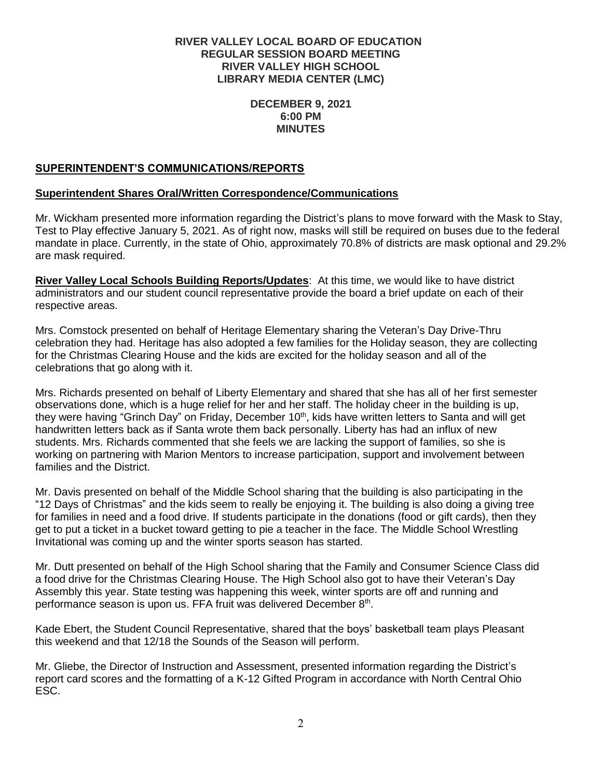## **DECEMBER 9, 2021 6:00 PM MINUTES**

# **SUPERINTENDENT'S COMMUNICATIONS/REPORTS**

# **Superintendent Shares Oral/Written Correspondence/Communications**

Mr. Wickham presented more information regarding the District's plans to move forward with the Mask to Stay, Test to Play effective January 5, 2021. As of right now, masks will still be required on buses due to the federal mandate in place. Currently, in the state of Ohio, approximately 70.8% of districts are mask optional and 29.2% are mask required.

**River Valley Local Schools Building Reports/Updates**: At this time, we would like to have district administrators and our student council representative provide the board a brief update on each of their respective areas.

Mrs. Comstock presented on behalf of Heritage Elementary sharing the Veteran's Day Drive-Thru celebration they had. Heritage has also adopted a few families for the Holiday season, they are collecting for the Christmas Clearing House and the kids are excited for the holiday season and all of the celebrations that go along with it.

Mrs. Richards presented on behalf of Liberty Elementary and shared that she has all of her first semester observations done, which is a huge relief for her and her staff. The holiday cheer in the building is up, they were having "Grinch Day" on Friday, December 10<sup>th</sup>, kids have written letters to Santa and will get handwritten letters back as if Santa wrote them back personally. Liberty has had an influx of new students. Mrs. Richards commented that she feels we are lacking the support of families, so she is working on partnering with Marion Mentors to increase participation, support and involvement between families and the District.

Mr. Davis presented on behalf of the Middle School sharing that the building is also participating in the "12 Days of Christmas" and the kids seem to really be enjoying it. The building is also doing a giving tree for families in need and a food drive. If students participate in the donations (food or gift cards), then they get to put a ticket in a bucket toward getting to pie a teacher in the face. The Middle School Wrestling Invitational was coming up and the winter sports season has started.

Mr. Dutt presented on behalf of the High School sharing that the Family and Consumer Science Class did a food drive for the Christmas Clearing House. The High School also got to have their Veteran's Day Assembly this year. State testing was happening this week, winter sports are off and running and performance season is upon us. FFA fruit was delivered December 8<sup>th</sup>.

Kade Ebert, the Student Council Representative, shared that the boys' basketball team plays Pleasant this weekend and that 12/18 the Sounds of the Season will perform.

Mr. Gliebe, the Director of Instruction and Assessment, presented information regarding the District's report card scores and the formatting of a K-12 Gifted Program in accordance with North Central Ohio ESC.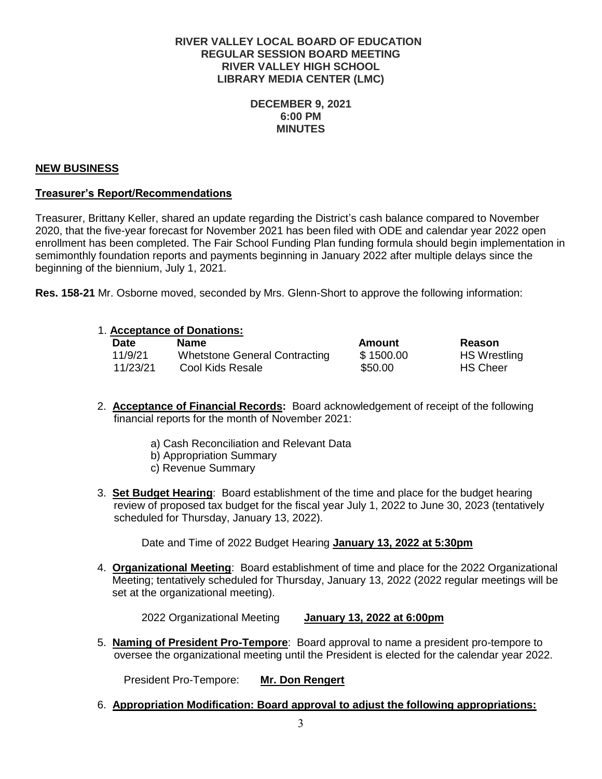## **DECEMBER 9, 2021 6:00 PM MINUTES**

# **NEW BUSINESS**

# **Treasurer's Report/Recommendations**

Treasurer, Brittany Keller, shared an update regarding the District's cash balance compared to November 2020, that the five-year forecast for November 2021 has been filed with ODE and calendar year 2022 open enrollment has been completed. The Fair School Funding Plan funding formula should begin implementation in semimonthly foundation reports and payments beginning in January 2022 after multiple delays since the beginning of the biennium, July 1, 2021.

**Res. 158-21** Mr. Osborne moved, seconded by Mrs. Glenn-Short to approve the following information:

### 1. **Acceptance of Donations:**

| Date     | <b>Name</b>                   | Amount    | Reason              |
|----------|-------------------------------|-----------|---------------------|
| 11/9/21  | Whetstone General Contracting | \$1500.00 | <b>HS Wrestling</b> |
| 11/23/21 | Cool Kids Resale              | \$50.00   | <b>HS Cheer</b>     |

- 2. **Acceptance of Financial Records:** Board acknowledgement of receipt of the following financial reports for the month of November 2021:
	- a) Cash Reconciliation and Relevant Data
	- b) Appropriation Summary
	- c) Revenue Summary
- 3. **Set Budget Hearing**: Board establishment of the time and place for the budget hearing review of proposed tax budget for the fiscal year July 1, 2022 to June 30, 2023 (tentatively scheduled for Thursday, January 13, 2022).

Date and Time of 2022 Budget Hearing **January 13, 2022 at 5:30pm**

4. **Organizational Meeting**: Board establishment of time and place for the 2022 Organizational Meeting; tentatively scheduled for Thursday, January 13, 2022 (2022 regular meetings will be set at the organizational meeting).

2022 Organizational Meeting **January 13, 2022 at 6:00pm**

5. **Naming of President Pro-Tempore**: Board approval to name a president pro-tempore to oversee the organizational meeting until the President is elected for the calendar year 2022.

President Pro-Tempore: **Mr. Don Rengert**

6. **Appropriation Modification: Board approval to adjust the following appropriations:**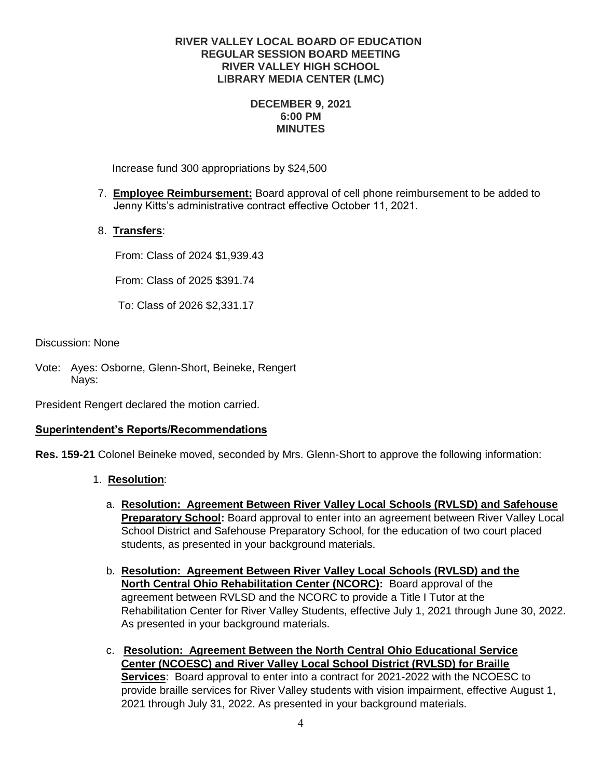## **DECEMBER 9, 2021 6:00 PM MINUTES**

Increase fund 300 appropriations by \$24,500

- 7. **Employee Reimbursement:** Board approval of cell phone reimbursement to be added to Jenny Kitts's administrative contract effective October 11, 2021.
- 8. **Transfers**:

From: Class of 2024 \$1,939.43

From: Class of 2025 \$391.74

To: Class of 2026 \$2,331.17

Discussion: None

Vote: Ayes: Osborne, Glenn-Short, Beineke, Rengert Nays:

President Rengert declared the motion carried.

# **Superintendent's Reports/Recommendations**

**Res. 159-21** Colonel Beineke moved, seconded by Mrs. Glenn-Short to approve the following information:

- 1. **Resolution**:
	- a. **Resolution: Agreement Between River Valley Local Schools (RVLSD) and Safehouse Preparatory School:** Board approval to enter into an agreement between River Valley Local School District and Safehouse Preparatory School, for the education of two court placed students, as presented in your background materials.
	- b. **Resolution: Agreement Between River Valley Local Schools (RVLSD) and the North Central Ohio Rehabilitation Center (NCORC):** Board approval of the agreement between RVLSD and the NCORC to provide a Title I Tutor at the Rehabilitation Center for River Valley Students, effective July 1, 2021 through June 30, 2022. As presented in your background materials.
	- c. **Resolution: Agreement Between the North Central Ohio Educational Service Center (NCOESC) and River Valley Local School District (RVLSD) for Braille Services**: Board approval to enter into a contract for 2021-2022 with the NCOESC to provide braille services for River Valley students with vision impairment, effective August 1, 2021 through July 31, 2022. As presented in your background materials.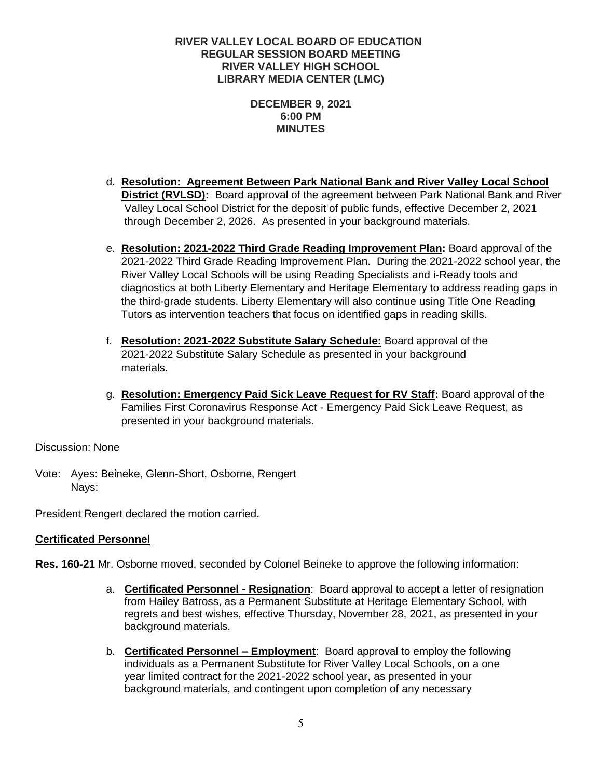## **DECEMBER 9, 2021 6:00 PM MINUTES**

- d. **Resolution: Agreement Between Park National Bank and River Valley Local School District (RVLSD):** Board approval of the agreement between Park National Bank and River Valley Local School District for the deposit of public funds, effective December 2, 2021 through December 2, 2026. As presented in your background materials.
- e. **Resolution: 2021-2022 Third Grade Reading Improvement Plan:** Board approval of the 2021-2022 Third Grade Reading Improvement Plan. During the 2021-2022 school year, the River Valley Local Schools will be using Reading Specialists and i-Ready tools and diagnostics at both Liberty Elementary and Heritage Elementary to address reading gaps in the third-grade students. Liberty Elementary will also continue using Title One Reading Tutors as intervention teachers that focus on identified gaps in reading skills.
- f. **Resolution: 2021-2022 Substitute Salary Schedule:** Board approval of the 2021-2022 Substitute Salary Schedule as presented in your background materials.
- g. **Resolution: Emergency Paid Sick Leave Request for RV Staff:** Board approval of the Families First Coronavirus Response Act - Emergency Paid Sick Leave Request, as presented in your background materials.

Discussion: None

Vote: Ayes: Beineke, Glenn-Short, Osborne, Rengert Nays:

President Rengert declared the motion carried.

# **Certificated Personnel**

**Res. 160-21** Mr. Osborne moved, seconded by Colonel Beineke to approve the following information:

- a. **Certificated Personnel - Resignation**: Board approval to accept a letter of resignation from Hailey Batross, as a Permanent Substitute at Heritage Elementary School, with regrets and best wishes, effective Thursday, November 28, 2021, as presented in your background materials.
- b. **Certificated Personnel – Employment**: Board approval to employ the following individuals as a Permanent Substitute for River Valley Local Schools, on a one year limited contract for the 2021-2022 school year, as presented in your background materials, and contingent upon completion of any necessary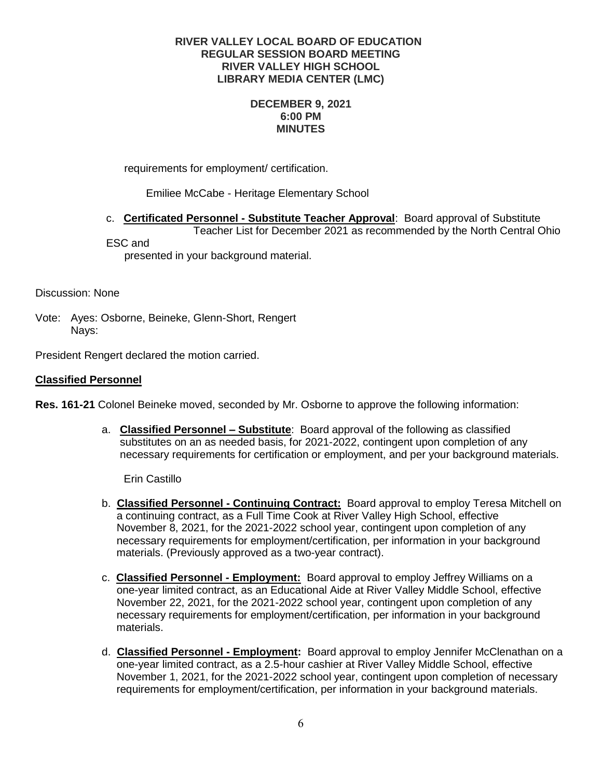## **DECEMBER 9, 2021 6:00 PM MINUTES**

requirements for employment/ certification.

Emiliee McCabe - Heritage Elementary School

c. **Certificated Personnel - Substitute Teacher Approval**: Board approval of Substitute Teacher List for December 2021 as recommended by the North Central Ohio ESC and

presented in your background material.

Discussion: None

Vote: Ayes: Osborne, Beineke, Glenn-Short, Rengert Nays:

President Rengert declared the motion carried.

# **Classified Personnel**

**Res. 161-21** Colonel Beineke moved, seconded by Mr. Osborne to approve the following information:

a. **Classified Personnel – Substitute**: Board approval of the following as classified substitutes on an as needed basis, for 2021-2022, contingent upon completion of any necessary requirements for certification or employment, and per your background materials.

Erin Castillo

- b. **Classified Personnel - Continuing Contract:** Board approval to employ Teresa Mitchell on a continuing contract, as a Full Time Cook at River Valley High School, effective November 8, 2021, for the 2021-2022 school year, contingent upon completion of any necessary requirements for employment/certification, per information in your background materials. (Previously approved as a two-year contract).
- c. **Classified Personnel - Employment:** Board approval to employ Jeffrey Williams on a one-year limited contract, as an Educational Aide at River Valley Middle School, effective November 22, 2021, for the 2021-2022 school year, contingent upon completion of any necessary requirements for employment/certification, per information in your background materials.
- d. **Classified Personnel - Employment:** Board approval to employ Jennifer McClenathan on a one-year limited contract, as a 2.5-hour cashier at River Valley Middle School, effective November 1, 2021, for the 2021-2022 school year, contingent upon completion of necessary requirements for employment/certification, per information in your background materials.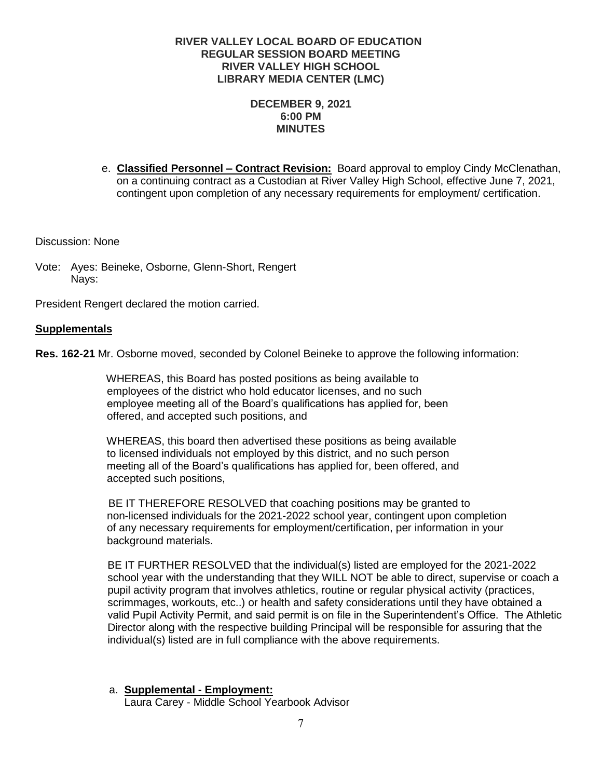## **DECEMBER 9, 2021 6:00 PM MINUTES**

e. **Classified Personnel – Contract Revision:** Board approval to employ Cindy McClenathan, on a continuing contract as a Custodian at River Valley High School, effective June 7, 2021, contingent upon completion of any necessary requirements for employment/ certification.

Discussion: None

Vote: Ayes: Beineke, Osborne, Glenn-Short, Rengert Nays:

President Rengert declared the motion carried.

### **Supplementals**

**Res. 162-21** Mr. Osborne moved, seconded by Colonel Beineke to approve the following information:

 WHEREAS, this Board has posted positions as being available to employees of the district who hold educator licenses, and no such employee meeting all of the Board's qualifications has applied for, been offered, and accepted such positions, and

 WHEREAS, this board then advertised these positions as being available to licensed individuals not employed by this district, and no such person meeting all of the Board's qualifications has applied for, been offered, and accepted such positions,

 BE IT THEREFORE RESOLVED that coaching positions may be granted to non-licensed individuals for the 2021-2022 school year, contingent upon completion of any necessary requirements for employment/certification, per information in your background materials.

 BE IT FURTHER RESOLVED that the individual(s) listed are employed for the 2021-2022 school year with the understanding that they WILL NOT be able to direct, supervise or coach a pupil activity program that involves athletics, routine or regular physical activity (practices, scrimmages, workouts, etc..) or health and safety considerations until they have obtained a valid Pupil Activity Permit, and said permit is on file in the Superintendent's Office. The Athletic Director along with the respective building Principal will be responsible for assuring that the individual(s) listed are in full compliance with the above requirements.

# a. **Supplemental - Employment:**

Laura Carey - Middle School Yearbook Advisor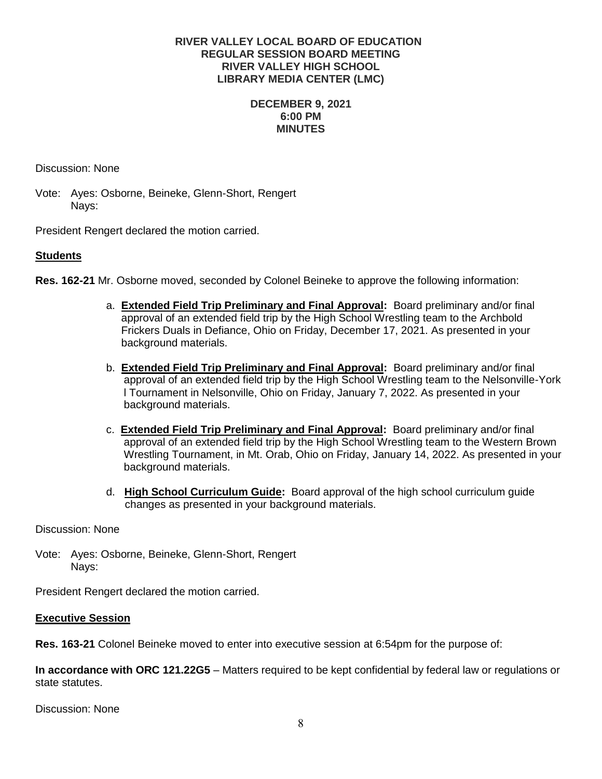## **DECEMBER 9, 2021 6:00 PM MINUTES**

Discussion: None

Vote: Ayes: Osborne, Beineke, Glenn-Short, Rengert Nays:

President Rengert declared the motion carried.

# **Students**

**Res. 162-21** Mr. Osborne moved, seconded by Colonel Beineke to approve the following information:

- a. **Extended Field Trip Preliminary and Final Approval:** Board preliminary and/or final approval of an extended field trip by the High School Wrestling team to the Archbold Frickers Duals in Defiance, Ohio on Friday, December 17, 2021. As presented in your background materials.
- b. **Extended Field Trip Preliminary and Final Approval:** Board preliminary and/or final approval of an extended field trip by the High School Wrestling team to the Nelsonville-York l Tournament in Nelsonville, Ohio on Friday, January 7, 2022. As presented in your background materials.
- c. **Extended Field Trip Preliminary and Final Approval:** Board preliminary and/or final approval of an extended field trip by the High School Wrestling team to the Western Brown Wrestling Tournament, in Mt. Orab, Ohio on Friday, January 14, 2022. As presented in your background materials.
- d. **High School Curriculum Guide:** Board approval of the high school curriculum guide changes as presented in your background materials.

Discussion: None

Vote: Ayes: Osborne, Beineke, Glenn-Short, Rengert Nays:

President Rengert declared the motion carried.

### **Executive Session**

**Res. 163-21** Colonel Beineke moved to enter into executive session at 6:54pm for the purpose of:

**In accordance with ORC 121.22G5** – Matters required to be kept confidential by federal law or regulations or state statutes.

Discussion: None